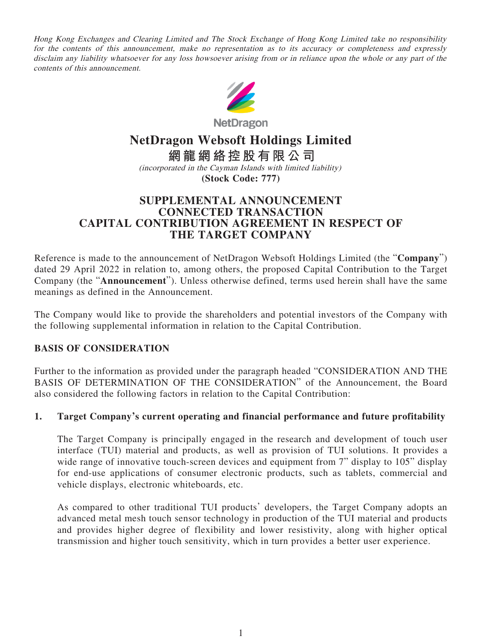Hong Kong Exchanges and Clearing Limited and The Stock Exchange of Hong Kong Limited take no responsibility for the contents of this announcement, make no representation as to its accuracy or completeness and expressly disclaim any liability whatsoever for any loss howsoever arising from or in reliance upon the whole or any part of the contents of this announcement.



**NetDragon** 

# **NetDragon Websoft Holdings Limited**

**網龍網絡控股有限公司** (incorporated in the Cayman Islands with limited liability) **(Stock Code: 777)**

# **SUPPLEMENTAL ANNOUNCEMENT CONNECTED TRANSACTION CAPITAL CONTRIBUTION AGREEMENT IN RESPECT OF THE TARGET COMPANY**

Reference is made to the announcement of NetDragon Websoft Holdings Limited (the "**Company**") dated 29 April 2022 in relation to, among others, the proposed Capital Contribution to the Target Company (the "**Announcement**"). Unless otherwise defined, terms used herein shall have the same meanings as defined in the Announcement.

The Company would like to provide the shareholders and potential investors of the Company with the following supplemental information in relation to the Capital Contribution.

### **BASIS OF CONSIDERATION**

Further to the information as provided under the paragraph headed "CONSIDERATION AND THE BASIS OF DETERMINATION OF THE CONSIDERATION" of the Announcement, the Board also considered the following factors in relation to the Capital Contribution:

### **1. Target Company's current operating and financial performance and future profitability**

The Target Company is principally engaged in the research and development of touch user interface (TUI) material and products, as well as provision of TUI solutions. It provides a wide range of innovative touch-screen devices and equipment from 7" display to 105" display for end-use applications of consumer electronic products, such as tablets, commercial and vehicle displays, electronic whiteboards, etc.

As compared to other traditional TUI products' developers, the Target Company adopts an advanced metal mesh touch sensor technology in production of the TUI material and products and provides higher degree of flexibility and lower resistivity, along with higher optical transmission and higher touch sensitivity, which in turn provides a better user experience.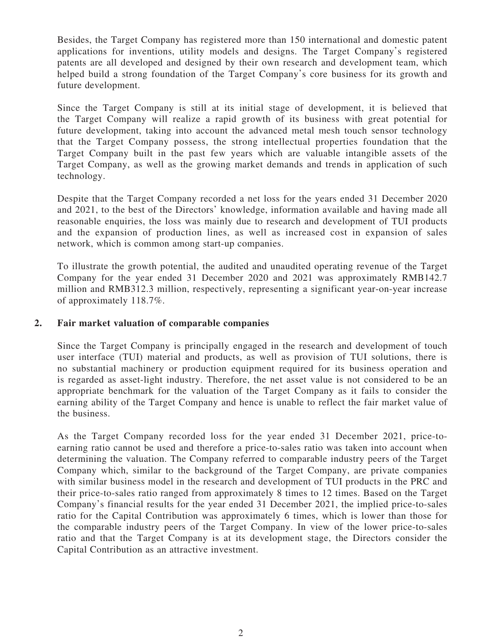Besides, the Target Company has registered more than 150 international and domestic patent applications for inventions, utility models and designs. The Target Company's registered patents are all developed and designed by their own research and development team, which helped build a strong foundation of the Target Company's core business for its growth and future development.

Since the Target Company is still at its initial stage of development, it is believed that the Target Company will realize a rapid growth of its business with great potential for future development, taking into account the advanced metal mesh touch sensor technology that the Target Company possess, the strong intellectual properties foundation that the Target Company built in the past few years which are valuable intangible assets of the Target Company, as well as the growing market demands and trends in application of such technology.

Despite that the Target Company recorded a net loss for the years ended 31 December 2020 and 2021, to the best of the Directors' knowledge, information available and having made all reasonable enquiries, the loss was mainly due to research and development of TUI products and the expansion of production lines, as well as increased cost in expansion of sales network, which is common among start-up companies.

To illustrate the growth potential, the audited and unaudited operating revenue of the Target Company for the year ended 31 December 2020 and 2021 was approximately RMB142.7 million and RMB312.3 million, respectively, representing a significant year-on-year increase of approximately 118.7%.

#### **2. Fair market valuation of comparable companies**

Since the Target Company is principally engaged in the research and development of touch user interface (TUI) material and products, as well as provision of TUI solutions, there is no substantial machinery or production equipment required for its business operation and is regarded as asset-light industry. Therefore, the net asset value is not considered to be an appropriate benchmark for the valuation of the Target Company as it fails to consider the earning ability of the Target Company and hence is unable to reflect the fair market value of the business.

As the Target Company recorded loss for the year ended 31 December 2021, price-toearning ratio cannot be used and therefore a price-to-sales ratio was taken into account when determining the valuation. The Company referred to comparable industry peers of the Target Company which, similar to the background of the Target Company, are private companies with similar business model in the research and development of TUI products in the PRC and their price-to-sales ratio ranged from approximately 8 times to 12 times. Based on the Target Company's financial results for the year ended 31 December 2021, the implied price-to-sales ratio for the Capital Contribution was approximately 6 times, which is lower than those for the comparable industry peers of the Target Company. In view of the lower price-to-sales ratio and that the Target Company is at its development stage, the Directors consider the Capital Contribution as an attractive investment.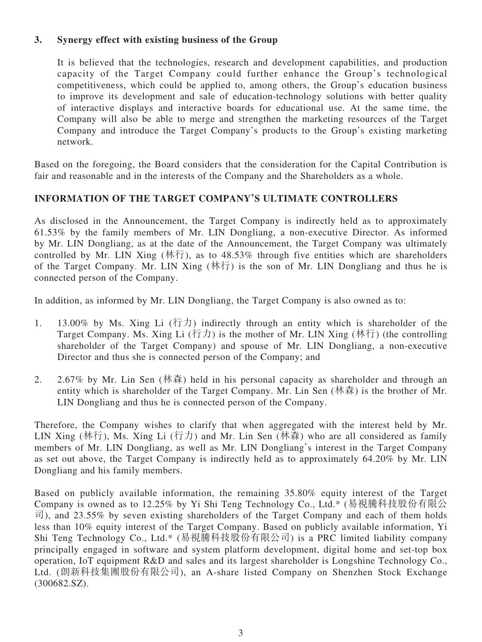### **3. Synergy effect with existing business of the Group**

It is believed that the technologies, research and development capabilities, and production capacity of the Target Company could further enhance the Group's technological competitiveness, which could be applied to, among others, the Group's education business to improve its development and sale of education-technology solutions with better quality of interactive displays and interactive boards for educational use. At the same time, the Company will also be able to merge and strengthen the marketing resources of the Target Company and introduce the Target Company's products to the Group's existing marketing network.

Based on the foregoing, the Board considers that the consideration for the Capital Contribution is fair and reasonable and in the interests of the Company and the Shareholders as a whole.

## **INFORMATION OF THE TARGET COMPANY'S ULTIMATE CONTROLLERS**

As disclosed in the Announcement, the Target Company is indirectly held as to approximately 61.53% by the family members of Mr. LIN Dongliang, a non-executive Director. As informed by Mr. LIN Dongliang, as at the date of the Announcement, the Target Company was ultimately controlled by Mr. LIN Xing  $(\text{M} \hat{\tau})$ , as to 48.53% through five entities which are shareholders of the Target Company. Mr. LIN Xing (林行) is the son of Mr. LIN Dongliang and thus he is connected person of the Company.

In addition, as informed by Mr. LIN Dongliang, the Target Company is also owned as to:

- 1. 13.00% by Ms. Xing Li  $(行カ)$  indirectly through an entity which is shareholder of the Target Company. Ms. Xing Li  $(行$ 力) is the mother of Mr. LIN Xing (林行) (the controlling shareholder of the Target Company) and spouse of Mr. LIN Dongliang, a non-executive Director and thus she is connected person of the Company; and
- 2. 2.67% by Mr. Lin Sen (林森) held in his personal capacity as shareholder and through an entity which is shareholder of the Target Company. Mr. Lin Sen (林森) is the brother of Mr. LIN Dongliang and thus he is connected person of the Company.

Therefore, the Company wishes to clarify that when aggregated with the interest held by Mr. LIN Xing (林行), Ms. Xing Li (行力) and Mr. Lin Sen (林森) who are all considered as family members of Mr. LIN Dongliang, as well as Mr. LIN Dongliang's interest in the Target Company as set out above, the Target Company is indirectly held as to approximately 64.20% by Mr. LIN Dongliang and his family members.

Based on publicly available information, the remaining 35.80% equity interest of the Target Company is owned as to 12.25% by Yi Shi Teng Technology Co., Ltd.\* (易視騰科技股份有限公 司), and 23.55% by seven existing shareholders of the Target Company and each of them holds less than 10% equity interest of the Target Company. Based on publicly available information, Yi Shi Teng Technology Co., Ltd.\* (易視騰科技股份有限公司) is a PRC limited liability company principally engaged in software and system platform development, digital home and set-top box operation, IoT equipment R&D and sales and its largest shareholder is Longshine Technology Co., Ltd. (朗新科技集團股份有限公司), an A-share listed Company on Shenzhen Stock Exchange (300682.SZ).